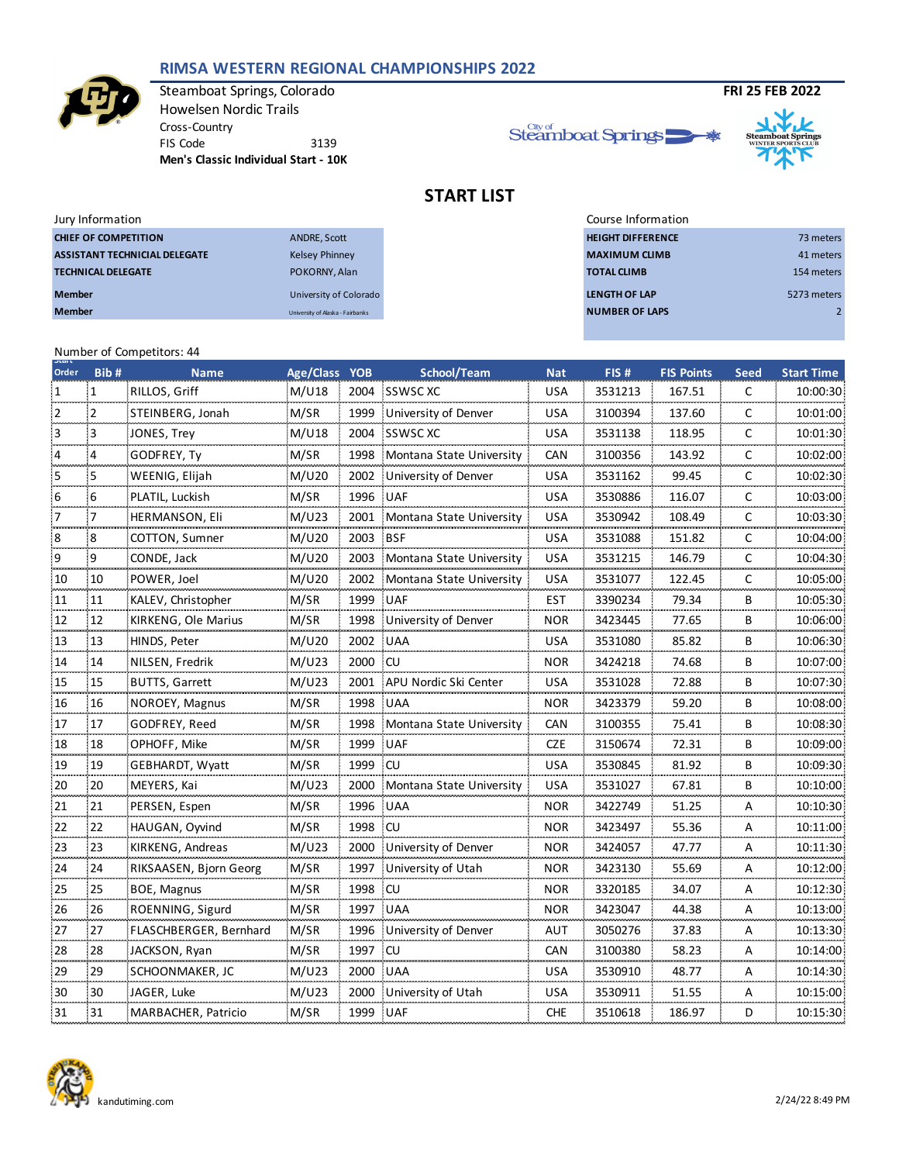### **RIMSA WESTERN REGIONAL CHAMPIONSHIPS 2022**



Steamboat Springs, Colorado **FRI 25 FEB 2022** Howelsen Nordic Trails Cross-Country FIS Code 3139 **Men's Classic Individual Start - 10K**





# **START LIST**

| Jury Information                     |                                  | Course Information       |             |
|--------------------------------------|----------------------------------|--------------------------|-------------|
| <b>CHIEF OF COMPETITION</b>          | ANDRE, Scott                     | <b>HEIGHT DIFFERENCE</b> | 73 meters   |
| <b>ASSISTANT TECHNICIAL DELEGATE</b> | <b>Kelsey Phinney</b>            | <b>MAXIMUM CLIMB</b>     | 41 meters   |
| <b>TECHNICAL DELEGATE</b>            | POKORNY, Alan                    | <b>TOTAL CLIMB</b>       | 154 meters  |
| <b>Member</b>                        | University of Colorado           | LENGTH OF LAP            | 5273 meters |
| <b>Member</b>                        | University of Alaska - Fairbanks | <b>NUMBER OF LAPS</b>    |             |

## Number of Competitors: 44 **Start**

| Order | Bib#         | <b>Name</b>                | Age/Class YOB |      | School/Team              | <b>Nat</b> | FIS#    | <b>FIS Points</b> | <b>Seed</b> | <b>Start Time</b> |
|-------|--------------|----------------------------|---------------|------|--------------------------|------------|---------|-------------------|-------------|-------------------|
| 1     | $\mathbf{1}$ | RILLOS, Griff              | M/U18         | 2004 | <b>SSWSCXC</b>           | <b>USA</b> | 3531213 | 167.51            | C           | 10:00:30          |
| 2     | 2            | STEINBERG, Jonah           | M/SR          | 1999 | University of Denver     | USA        | 3100394 | 137.60            | C           | 10:01:00          |
| 3     | 3            | JONES, Trey                | M/U18         | 2004 | SSWSC XC                 | <b>USA</b> | 3531138 | 118.95            | C           | 10:01:30          |
| 4     | 4            | GODFREY, Ty                | M/SR          | 1998 | Montana State University | CAN        | 3100356 | 143.92            | C           | 10:02:00          |
| 5     | 5            | WEENIG, Elijah             | M/U20         | 2002 | University of Denver     | <b>USA</b> | 3531162 | 99.45             | C           | 10:02:30          |
| 6     | 6            | PLATIL, Luckish            | M/SR          | 1996 | <b>UAF</b>               | <b>USA</b> | 3530886 | 116.07            | C           | 10:03:00          |
| 7     | 7            | HERMANSON, Eli             | M/U23         | 2001 | Montana State University | <b>USA</b> | 3530942 | 108.49            | C           | 10:03:30          |
| 8     | 8            | COTTON, Sumner             | M/U20         | 2003 | <b>BSF</b>               | USA        | 3531088 | 151.82            | C           | 10:04:00          |
| 9     | 9            | CONDE, Jack                | M/U20         | 2003 | Montana State University | <b>USA</b> | 3531215 | 146.79            | C           | 10:04:30          |
| 10    | 10           | POWER, Joel                | M/U20         | 2002 | Montana State University | <b>USA</b> | 3531077 | 122.45            | C           | 10:05:00          |
| 11    | 11           | KALEV, Christopher         | M/SR          | 1999 | UAF                      | EST        | 3390234 | 79.34             | B           | 10:05:30          |
| 12    | 12           | <b>KIRKENG, Ole Marius</b> | M/SR          | 1998 | University of Denver     | <b>NOR</b> | 3423445 | 77.65             | B           | 10:06:00          |
| 13    | 13           | HINDS, Peter               | M/U20         | 2002 | UAA                      | <b>USA</b> | 3531080 | 85.82             | B           | 10:06:30          |
| 14    | 14           | NILSEN, Fredrik            | M/U23         | 2000 | CU                       | NOR        | 3424218 | 74.68             | В           | 10:07:00          |
| 15    | 15           | <b>BUTTS, Garrett</b>      | M/U23         | 2001 | APU Nordic Ski Center    | <b>USA</b> | 3531028 | 72.88             | B           | 10:07:30          |
| 16    | 16           | NOROEY, Magnus             | M/SR          | 1998 | <b>UAA</b>               | <b>NOR</b> | 3423379 | 59.20             | В           | 10:08:00          |
| 17    | 17           | GODFREY, Reed              | M/SR          | 1998 | Montana State University | <b>CAN</b> | 3100355 | 75.41             | В           | 10:08:30          |
| 18    | 18           | OPHOFF, Mike               | M/SR          | 1999 | <b>UAF</b>               | <b>CZE</b> | 3150674 | 72.31             | B           | 10:09:00          |
| 19    | 19           | GEBHARDT, Wyatt            | M/SR          | 1999 | <b>CU</b>                | <b>USA</b> | 3530845 | 81.92             | B           | 10:09:30          |
| 20    | 20           | MEYERS, Kai                | M/U23         | 2000 | Montana State University | <b>USA</b> | 3531027 | 67.81             | B           | 10:10:00          |
| 21    | 21           | PERSEN, Espen              | M/SR          | 1996 | <b>UAA</b>               | <b>NOR</b> | 3422749 | 51.25             | A           | 10:10:30          |
| 22    | 22           | HAUGAN, Oyvind             | M/SR          | 1998 | CU                       | <b>NOR</b> | 3423497 | 55.36             | A           | 10:11:00          |
| 23    | 23           | KIRKENG, Andreas           | M/U23         | 2000 | University of Denver     | NOR        | 3424057 | 47.77             | A           | 10:11:30          |
| 24    | 24           | RIKSAASEN, Bjorn Georg     | M/SR          | 1997 | University of Utah       | <b>NOR</b> | 3423130 | 55.69             | A           | 10:12:00          |
| 25    | 25           | <b>BOE, Magnus</b>         | M/SR          | 1998 | CU                       | <b>NOR</b> | 3320185 | 34.07             | Α           | 10:12:30          |
| 26    | 26           | ROENNING, Sigurd           | M/SR          | 1997 | <b>UAA</b>               | NOR        | 3423047 | 44.38             | A           | 10:13:00          |
| 27    | 27           | FLASCHBERGER, Bernhard     | M/SR          | 1996 | University of Denver     | AUT        | 3050276 | 37.83             | A           | 10:13:30          |
| 28    | 28           | JACKSON, Ryan              | M/SR          | 1997 | CU                       | CAN        | 3100380 | 58.23             | A           | 10:14:00          |
| 29    | 29           | SCHOONMAKER, JC            | M/U23         | 2000 | <b>UAA</b>               | USA        | 3530910 | 48.77             | A           | 10:14:30          |
| 30    | 30           | JAGER, Luke                | M/U23         | 2000 | University of Utah       | <b>USA</b> | 3530911 | 51.55             | Α           | 10:15:00          |
| 31    | 31           | MARBACHER, Patricio        | M/SR          | 1999 | <b>UAF</b>               | <b>CHE</b> | 3510618 | 186.97            | D           | 10:15:30          |